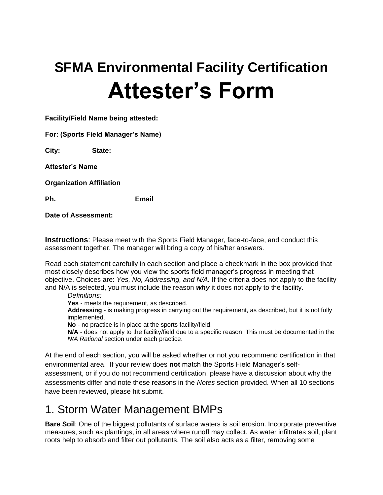# **SFMA Environmental Facility Certification Attester's Form**

**Facility/Field Name being attested:** 

**For: (Sports Field Manager's Name)** 

**City: State:** 

**Attester's Name**

**Organization Affiliation** 

**Ph. Email**

**Date of Assessment:**

**Instructions**: Please meet with the Sports Field Manager, face-to-face, and conduct this assessment together. The manager will bring a copy of his/her answers.

Read each statement carefully in each section and place a checkmark in the box provided that most closely describes how you view the sports field manager's progress in meeting that objective. Choices are: *Yes, No, Addressing, and N/A.* If the criteria does not apply to the facility and N/A is selected, you must include the reason *why* it does not apply to the facility.

*Definitions:*

**Yes** - meets the requirement, as described.

**Addressing** - is making progress in carrying out the requirement, as described, but it is not fully implemented.

**No** - no practice is in place at the sports facility/field.

**N/A** - does not apply to the facility/field due to a specific reason. This must be documented in the *N/A Rational* section under each practice.

At the end of each section, you will be asked whether or not you recommend certification in that environmental area. If your review does **not** match the Sports Field Manager's selfassessment, or if you do not recommend certification, please have a discussion about why the assessments differ and note these reasons in the *Notes* section provided. When all 10 sections have been reviewed, please hit submit.

# 1. Storm Water Management BMPs

**Bare Soil**: One of the biggest pollutants of surface waters is soil erosion. Incorporate preventive measures, such as plantings, in all areas where runoff may collect. As water infiltrates soil, plant roots help to absorb and filter out pollutants. The soil also acts as a filter, removing some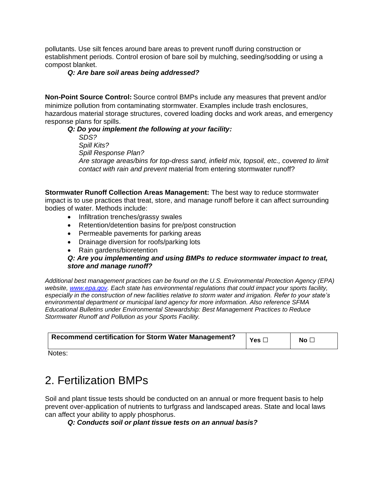pollutants. Use silt fences around bare areas to prevent runoff during construction or establishment periods. Control erosion of bare soil by mulching, seeding/sodding or using a compost blanket.

#### *Q: Are bare soil areas being addressed?*

**Non-Point Source Control:** Source control BMPs include any measures that prevent and/or minimize pollution from contaminating stormwater. Examples include trash enclosures, hazardous material storage structures, covered loading docks and work areas, and emergency response plans for spills.

#### *Q: Do you implement the following at your facility:*

*SDS? Spill Kits? Spill Response Plan? Are storage areas/bins for top-dress sand, infield mix, topsoil, etc., covered to limit contact with rain and prevent* material from entering stormwater runoff?

**Stormwater Runoff Collection Areas Management:** The best way to reduce stormwater impact is to use practices that treat, store, and manage runoff before it can affect surrounding bodies of water. Methods include:

- Infiltration trenches/grassy swales
- Retention/detention basins for pre/post construction
- Permeable pavements for parking areas
- Drainage diversion for roofs/parking lots
- Rain gardens/bioretention

#### *Q: Are you implementing and using BMPs to reduce stormwater impact to treat, store and manage runoff?*

*Additional best management practices can be found on the U.S. Environmental Protection Agency (EPA) website, [www.epa.gov.](http://www.epa.gov/) Each state has environmental regulations that could impact your sports facility, especially in the construction of new facilities relative to storm water and irrigation. Refer to your state's environmental department or municipal land agency for more information. Also reference SFMA Educational Bulletins under Environmental Stewardship: Best Management Practices to Reduce Stormwater Runoff and Pollution as your Sports Facility.*

| Recommend certification for Storm Water Management? | Yes $\Box$ | No [ |
|-----------------------------------------------------|------------|------|
|                                                     |            |      |

Notes:

# 2. Fertilization BMPs

Soil and plant tissue tests should be conducted on an annual or more frequent basis to help prevent over-application of nutrients to turfgrass and landscaped areas. State and local laws can affect your ability to apply phosphorus.

#### *Q: Conducts soil or plant tissue tests on an annual basis?*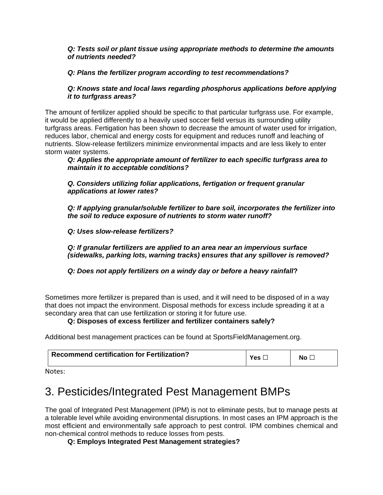#### *Q: Tests soil or plant tissue using appropriate methods to determine the amounts of nutrients needed?*

#### *Q: Plans the fertilizer program according to test recommendations?*

#### *Q: Knows state and local laws regarding phosphorus applications before applying it to turfgrass areas?*

The amount of fertilizer applied should be specific to that particular turfgrass use. For example, it would be applied differently to a heavily used soccer field versus its surrounding utility turfgrass areas. Fertigation has been shown to decrease the amount of water used for irrigation, reduces labor, chemical and energy costs for equipment and reduces runoff and leaching of nutrients. Slow-release fertilizers minimize environmental impacts and are less likely to enter storm water systems.

*Q: Applies the appropriate amount of fertilizer to each specific turfgrass area to maintain it to acceptable conditions?* 

*Q. Considers utilizing foliar applications, fertigation or frequent granular applications at lower rates?*

*Q: If applying granular/soluble fertilizer to bare soil, incorporates the fertilizer into the soil to reduce exposure of nutrients to storm water runoff?*

*Q: Uses slow-release fertilizers?* 

*Q: If granular fertilizers are applied to an area near an impervious surface (sidewalks, parking lots, warning tracks) ensures that any spillover is removed?*

*Q: Does not apply fertilizers on a windy day or before a heavy rainfall***?**

Sometimes more fertilizer is prepared than is used, and it will need to be disposed of in a way that does not impact the environment. Disposal methods for excess include spreading it at a secondary area that can use fertilization or storing it for future use.

#### **Q: Disposes of excess fertilizer and fertilizer containers safely?**

Additional best management practices can be found at SportsFieldManagement.org.

| <b>Recommend certification for Fertilization?</b> | $Y_{\text{ES}}$ | No l |
|---------------------------------------------------|-----------------|------|
| .                                                 |                 |      |

Notes:

# 3. Pesticides/Integrated Pest Management BMPs

The goal of Integrated Pest Management (IPM) is not to eliminate pests, but to manage pests at a tolerable level while avoiding environmental disruptions. In most cases an IPM approach is the most efficient and environmentally safe approach to pest control. IPM combines chemical and non-chemical control methods to reduce losses from pests.

**Q: Employs Integrated Pest Management strategies?**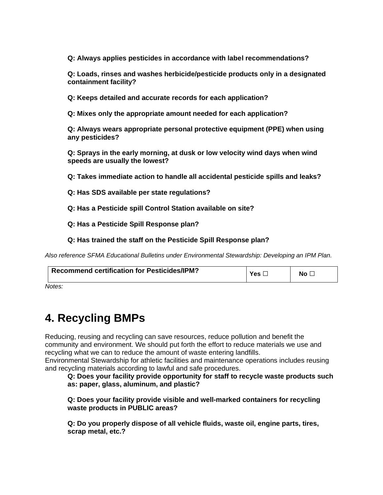**Q: Always applies pesticides in accordance with label recommendations?**

**Q: Loads, rinses and washes herbicide/pesticide products only in a designated containment facility?**

**Q: Keeps detailed and accurate records for each application?**

**Q: Mixes only the appropriate amount needed for each application?**

**Q: Always wears appropriate personal protective equipment (PPE) when using any pesticides?**

**Q: Sprays in the early morning, at dusk or low velocity wind days when wind speeds are usually the lowest?** 

**Q: Takes immediate action to handle all accidental pesticide spills and leaks?**

**Q: Has SDS available per state regulations?**

**Q: Has a Pesticide spill Control Station available on site?**

**Q: Has a Pesticide Spill Response plan?**

**Q: Has trained the staff on the Pesticide Spill Response plan?**

*Also reference SFMA Educational Bulletins under Environmental Stewardship: Developing an IPM Plan.*

| Recommend certification for Pesticides/IPM? | Yes. | Nο |
|---------------------------------------------|------|----|
| N <sub>0</sub>                              |      |    |

*Notes:*

# **4. Recycling BMPs**

Reducing, reusing and recycling can save resources, reduce pollution and benefit the community and environment. We should put forth the effort to reduce materials we use and recycling what we can to reduce the amount of waste entering landfills.

Environmental Stewardship for athletic facilities and maintenance operations includes reusing and recycling materials according to lawful and safe procedures.

**Q: Does your facility provide opportunity for staff to recycle waste products such as: paper, glass, aluminum, and plastic?**

**Q: Does your facility provide visible and well-marked containers for recycling waste products in PUBLIC areas?**

**Q: Do you properly dispose of all vehicle fluids, waste oil, engine parts, tires, scrap metal, etc.?**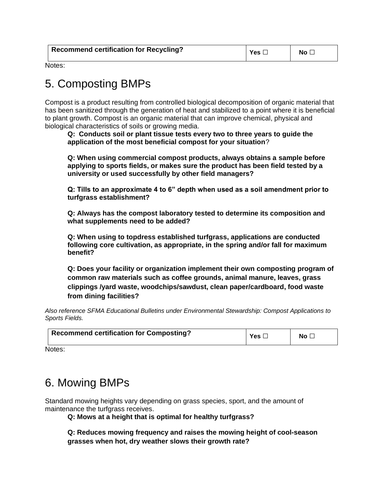| <b>Recommend certification for Recycling?</b> | Yes L | No <sub>1</sub> |
|-----------------------------------------------|-------|-----------------|
|                                               |       |                 |

Notes:

# 5. Composting BMPs

Compost is a product resulting from controlled biological decomposition of organic material that has been sanitized through the generation of heat and stabilized to a point where it is beneficial to plant growth. Compost is an organic material that can improve chemical, physical and biological characteristics of soils or growing media.

**Q: Conducts soil or plant tissue tests every two to three years to guide the application of the most beneficial compost for your situation**?

**Q: When using commercial compost products, always obtains a sample before applying to sports fields, or makes sure the product has been field tested by a university or used successfully by other field managers?**

**Q: Tills to an approximate 4 to 6" depth when used as a soil amendment prior to turfgrass establishment?**

**Q: Always has the compost laboratory tested to determine its composition and what supplements need to be added?**

**Q: When using to topdress established turfgrass, applications are conducted following core cultivation, as appropriate, in the spring and/or fall for maximum benefit?**

**Q: Does your facility or organization implement their own composting program of common raw materials such as coffee grounds, animal manure, leaves, grass clippings /yard waste, woodchips/sawdust, clean paper/cardboard, food waste from dining facilities?**

*Also reference SFMA Educational Bulletins under Environmental Stewardship: Compost Applications to Sports Fields.*

| <b>Recommend certification for Composting?</b><br>$\mathsf{v}_{\mathsf{es}}$ .<br>No. |
|---------------------------------------------------------------------------------------|
|---------------------------------------------------------------------------------------|

Notes:

# 6. Mowing BMPs

Standard mowing heights vary depending on grass species, sport, and the amount of maintenance the turfgrass receives.

**Q: Mows at a height that is optimal for healthy turfgrass?**

**Q: Reduces mowing frequency and raises the mowing height of cool-season grasses when hot, dry weather slows their growth rate?**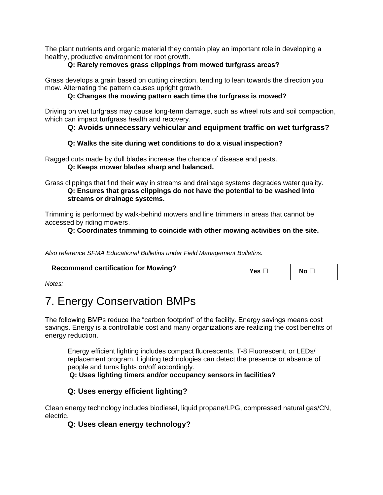The plant nutrients and organic material they contain play an important role in developing a healthy, productive environment for root growth.

#### **Q: Rarely removes grass clippings from mowed turfgrass areas?**

Grass develops a grain based on cutting direction, tending to lean towards the direction you mow. Alternating the pattern causes upright growth.

#### **Q: Changes the mowing pattern each time the turfgrass is mowed?**

Driving on wet turfgrass may cause long-term damage, such as wheel ruts and soil compaction, which can impact turfgrass health and recovery.

#### **Q: Avoids unnecessary vehicular and equipment traffic on wet turfgrass?**

#### **Q: Walks the site during wet conditions to do a visual inspection?**

Ragged cuts made by dull blades increase the chance of disease and pests. **Q: Keeps mower blades sharp and balanced.** 

Grass clippings that find their way in streams and drainage systems degrades water quality. **Q: Ensures that grass clippings do not have the potential to be washed into streams or drainage systems.** 

Trimming is performed by walk-behind mowers and line trimmers in areas that cannot be accessed by riding mowers.

#### **Q: Coordinates trimming to coincide with other mowing activities on the site.**

*Also reference SFMA Educational Bulletins under Field Management Bulletins.*

| <b>Recommend certification for Mowing?</b> |  | NΟ |
|--------------------------------------------|--|----|
|--------------------------------------------|--|----|

*Notes:*

# 7. Energy Conservation BMPs

The following BMPs reduce the "carbon footprint" of the facility. Energy savings means cost savings. Energy is a controllable cost and many organizations are realizing the cost benefits of energy reduction.

Energy efficient lighting includes compact fluorescents, T-8 Fluorescent, or LEDs/ replacement program. Lighting technologies can detect the presence or absence of people and turns lights on/off accordingly.

**Q: Uses lighting timers and/or occupancy sensors in facilities?** 

#### **Q: Uses energy efficient lighting?**

Clean energy technology includes biodiesel, liquid propane/LPG, compressed natural gas/CN, electric.

#### **Q: Uses clean energy technology?**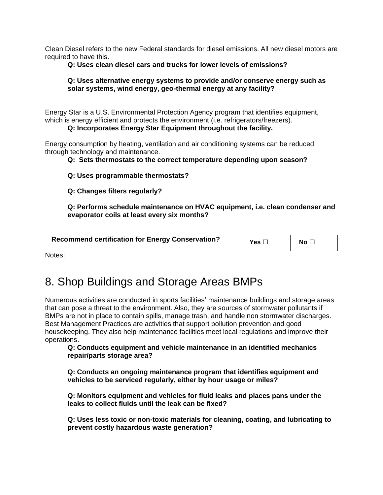Clean Diesel refers to the new Federal standards for diesel emissions. All new diesel motors are required to have this.

#### **Q: Uses clean diesel cars and trucks for lower levels of emissions?**

#### **Q: Uses alternative energy systems to provide and/or conserve energy such as solar systems, wind energy, geo-thermal energy at any facility?**

Energy Star is a U.S. Environmental Protection Agency program that identifies equipment, which is energy efficient and protects the environment (i.e. refrigerators/freezers).

**Q: Incorporates Energy Star Equipment throughout the facility.**

Energy consumption by heating, ventilation and air conditioning systems can be reduced through technology and maintenance.

**Q: Sets thermostats to the correct temperature depending upon season?**

**Q: Uses programmable thermostats?**

**Q: Changes filters regularly?**

**Q: Performs schedule maintenance on HVAC equipment, i.e. clean condenser and evaporator coils at least every six months?**

| Recommend certification for Energy Conservation? | Yes $\square$ | No l |
|--------------------------------------------------|---------------|------|
|                                                  |               |      |

Notes:

# 8. Shop Buildings and Storage Areas BMPs

Numerous activities are conducted in sports facilities' maintenance buildings and storage areas that can pose a threat to the environment. Also, they are sources of stormwater pollutants if BMPs are not in place to contain spills, manage trash, and handle non stormwater discharges. Best Management Practices are activities that support pollution prevention and good housekeeping. They also help maintenance facilities meet local regulations and improve their operations.

**Q: Conducts equipment and vehicle maintenance in an identified mechanics repair/parts storage area?** 

**Q: Conducts an ongoing maintenance program that identifies equipment and vehicles to be serviced regularly, either by hour usage or miles?**

**Q: Monitors equipment and vehicles for fluid leaks and places pans under the leaks to collect fluids until the leak can be fixed?**

**Q: Uses less toxic or non-toxic materials for cleaning, coating, and lubricating to prevent costly hazardous waste generation?**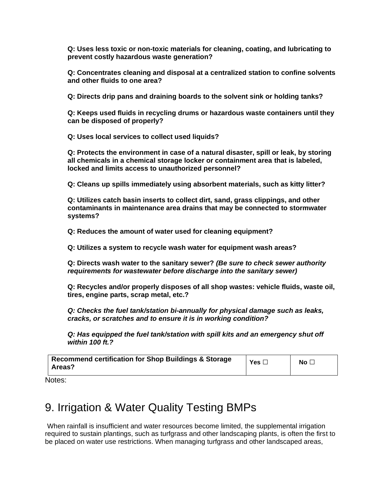**Q: Uses less toxic or non-toxic materials for cleaning, coating, and lubricating to prevent costly hazardous waste generation?**

**Q: Concentrates cleaning and disposal at a centralized station to confine solvents and other fluids to one area?**

**Q: Directs drip pans and draining boards to the solvent sink or holding tanks?** 

**Q: Keeps used fluids in recycling drums or hazardous waste containers until they can be disposed of properly?**

**Q: Uses local services to collect used liquids?**

**Q: Protects the environment in case of a natural disaster, spill or leak, by storing all chemicals in a chemical storage locker or containment area that is labeled, locked and limits access to unauthorized personnel?** 

**Q: Cleans up spills immediately using absorbent materials, such as kitty litter?**

**Q: Utilizes catch basin inserts to collect dirt, sand, grass clippings, and other contaminants in maintenance area drains that may be connected to stormwater systems?**

**Q: Reduces the amount of water used for cleaning equipment?**

**Q: Utilizes a system to recycle wash water for equipment wash areas?**

**Q: Directs wash water to the sanitary sewer?** *(Be sure to check sewer authority requirements for wastewater before discharge into the sanitary sewer)*

**Q: Recycles and/or properly disposes of all shop wastes: vehicle fluids, waste oil, tires, engine parts, scrap metal, etc.?**

*Q: Checks the fuel tank/station bi-annually for physical damage such as leaks, cracks, or scratches and to ensure it is in working condition?*

*Q: Has equipped the fuel tank/station with spill kits and an emergency shut off within 100 ft.?*

| <b>Recommend certification for Shop Buildings &amp; Storage</b><br>Areas? | Yes $\Box$ | No $\square$ |
|---------------------------------------------------------------------------|------------|--------------|
|---------------------------------------------------------------------------|------------|--------------|

Notes:

# 9. Irrigation & Water Quality Testing BMPs

When rainfall is insufficient and water resources become limited, the supplemental irrigation required to sustain plantings, such as turfgrass and other landscaping plants, is often the first to be placed on water use restrictions. When managing turfgrass and other landscaped areas,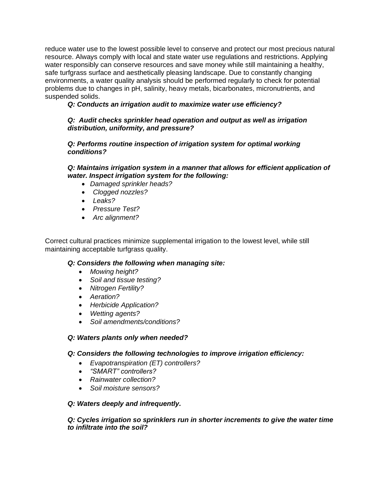reduce water use to the lowest possible level to conserve and protect our most precious natural resource. Always comply with local and state water use regulations and restrictions. Applying water responsibly can conserve resources and save money while still maintaining a healthy, safe turfgrass surface and aesthetically pleasing landscape. Due to constantly changing environments, a water quality analysis should be performed regularly to check for potential problems due to changes in pH, salinity, heavy metals, bicarbonates, micronutrients, and suspended solids.

*Q: Conducts an irrigation audit to maximize water use efficiency?*

#### *Q: Audit checks sprinkler head operation and output as well as irrigation distribution, uniformity, and pressure?*

*Q: Performs routine inspection of irrigation system for optimal working conditions?*

#### *Q: Maintains irrigation system in a manner that allows for efficient application of water. Inspect irrigation system for the following:*

- *Damaged sprinkler heads?*
- *Clogged nozzles?*
- *Leaks?*
- *Pressure Test?*
- *Arc alignment?*

Correct cultural practices minimize supplemental irrigation to the lowest level, while still maintaining acceptable turfgrass quality.

#### *Q: Considers the following when managing site:*

- *Mowing height?*
- *Soil and tissue testing?*
- *Nitrogen Fertility?*
- *Aeration?*
- *Herbicide Application?*
- *Wetting agents?*
- *Soil amendments/conditions?*

#### *Q: Waters plants only when needed?*

#### *Q: Considers the following technologies to improve irrigation efficiency:*

- *Evapotranspiration (ET) controllers?*
- *"SMART" controllers?*
- *Rainwater collection?*
- *Soil moisture sensors?*

#### *Q: Waters deeply and infrequently.*

#### *Q: Cycles irrigation so sprinklers run in shorter increments to give the water time to infiltrate into the soil?*